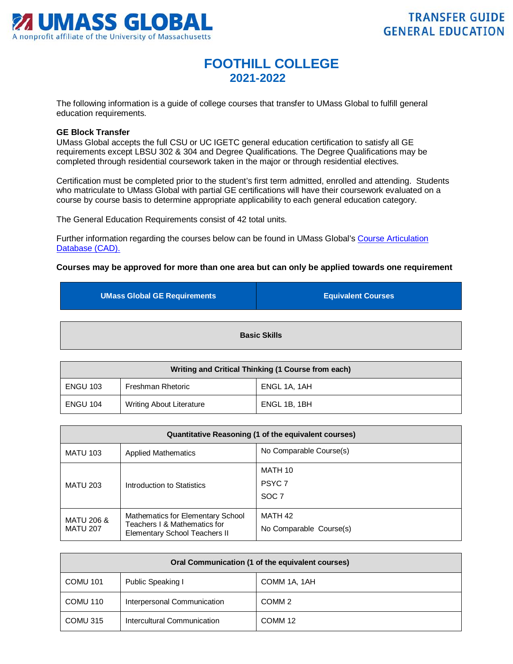

## **FOOTHILL COLLEGE 2021-2022**

The following information is a guide of college courses that transfer to UMass Global to fulfill general education requirements.

## **GE Block Transfer**

UMass Global accepts the full CSU or UC IGETC general education certification to satisfy all GE requirements except LBSU 302 & 304 and Degree Qualifications. The Degree Qualifications may be completed through residential coursework taken in the major or through residential electives.

Certification must be completed prior to the student's first term admitted, enrolled and attending. Students who matriculate to UMass Global with partial GE certifications will have their coursework evaluated on a course by course basis to determine appropriate applicability to each general education category.

The General Education Requirements consist of 42 total units.

Further information regarding the courses below can be found in UMass Global's [Course Articulation](http://services.umassglobal.edu/studentservices/TransferCredit/)  Database (CAD).

## **Courses may be approved for more than one area but can only be applied towards one requirement**

| <b>UMass Global GE Requirements</b> | <b>Equivalent Courses</b> |
|-------------------------------------|---------------------------|
|                                     | <b>Basic Skills</b>       |

| Writing and Critical Thinking (1 Course from each) |                                 |              |
|----------------------------------------------------|---------------------------------|--------------|
| <b>ENGU 103</b>                                    | Freshman Rhetoric               | ENGL 1A, 1AH |
| <b>ENGU 104</b>                                    | <b>Writing About Literature</b> | ENGL 1B, 1BH |

| Quantitative Reasoning (1 of the equivalent courses) |                                                                                                           |                                                  |
|------------------------------------------------------|-----------------------------------------------------------------------------------------------------------|--------------------------------------------------|
| <b>MATU 103</b>                                      | <b>Applied Mathematics</b>                                                                                | No Comparable Course(s)                          |
| <b>MATU 203</b>                                      | Introduction to Statistics                                                                                | MATH 10<br>PSYC <sub>7</sub><br>SOC <sub>7</sub> |
| MATU 206 &<br><b>MATU 207</b>                        | Mathematics for Elementary School<br>Teachers I & Mathematics for<br><b>Elementary School Teachers II</b> | MATH 42<br>No Comparable Course(s)               |

| Oral Communication (1 of the equivalent courses) |                             |                    |
|--------------------------------------------------|-----------------------------|--------------------|
| <b>COMU 101</b>                                  | Public Speaking I           | COMM 1A, 1AH       |
| COMU 110                                         | Interpersonal Communication | COMM <sub>2</sub>  |
| COMU 315                                         | Intercultural Communication | COMM <sub>12</sub> |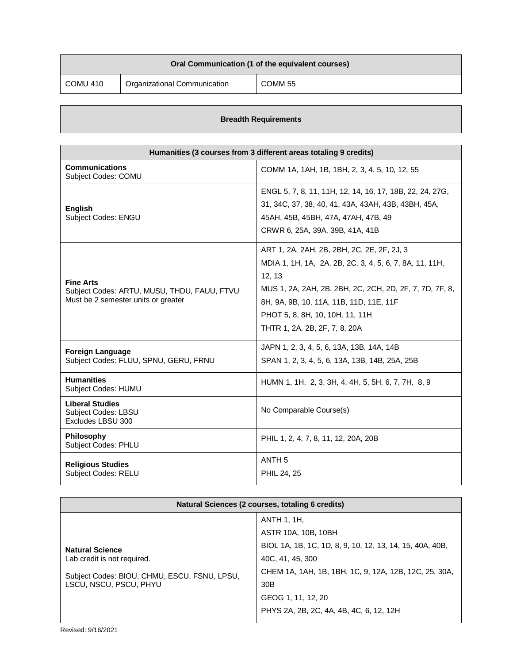| Oral Communication (1 of the equivalent courses) |                              |         |
|--------------------------------------------------|------------------------------|---------|
| COMU 410                                         | Organizational Communication | COMM 55 |

## **Breadth Requirements**

| Humanities (3 courses from 3 different areas totaling 9 credits)                                       |                                                                                                                                                                                                                                                                                           |  |
|--------------------------------------------------------------------------------------------------------|-------------------------------------------------------------------------------------------------------------------------------------------------------------------------------------------------------------------------------------------------------------------------------------------|--|
| <b>Communications</b><br>Subject Codes: COMU                                                           | COMM 1A, 1AH, 1B, 1BH, 2, 3, 4, 5, 10, 12, 55                                                                                                                                                                                                                                             |  |
| <b>English</b><br>Subject Codes: ENGU                                                                  | ENGL 5, 7, 8, 11, 11H, 12, 14, 16, 17, 18B, 22, 24, 27G,<br>31, 34C, 37, 38, 40, 41, 43A, 43AH, 43B, 43BH, 45A,<br>45AH, 45B, 45BH, 47A, 47AH, 47B, 49<br>CRWR 6, 25A, 39A, 39B, 41A, 41B                                                                                                 |  |
| <b>Fine Arts</b><br>Subject Codes: ARTU, MUSU, THDU, FAUU, FTVU<br>Must be 2 semester units or greater | ART 1, 2A, 2AH, 2B, 2BH, 2C, 2E, 2F, 2J, 3<br>MDIA 1, 1H, 1A, 2A, 2B, 2C, 3, 4, 5, 6, 7, 8A, 11, 11H,<br>12, 13<br>MUS 1, 2A, 2AH, 2B, 2BH, 2C, 2CH, 2D, 2F, 7, 7D, 7F, 8,<br>8H, 9A, 9B, 10, 11A, 11B, 11D, 11E, 11F<br>PHOT 5, 8, 8H, 10, 10H, 11, 11H<br>THTR 1, 2A, 2B, 2F, 7, 8, 20A |  |
| <b>Foreign Language</b><br>Subject Codes: FLUU, SPNU, GERU, FRNU                                       | JAPN 1, 2, 3, 4, 5, 6, 13A, 13B, 14A, 14B<br>SPAN 1, 2, 3, 4, 5, 6, 13A, 13B, 14B, 25A, 25B                                                                                                                                                                                               |  |
| <b>Humanities</b><br>Subject Codes: HUMU                                                               | HUMN 1, 1H, 2, 3, 3H, 4, 4H, 5, 5H, 6, 7, 7H, 8, 9                                                                                                                                                                                                                                        |  |
| <b>Liberal Studies</b><br><b>Subject Codes: LBSU</b><br>Excludes LBSU 300                              | No Comparable Course(s)                                                                                                                                                                                                                                                                   |  |
| Philosophy<br>Subject Codes: PHLU                                                                      | PHIL 1, 2, 4, 7, 8, 11, 12, 20A, 20B                                                                                                                                                                                                                                                      |  |
| <b>Religious Studies</b><br>Subject Codes: RELU                                                        | ANTH <sub>5</sub><br>PHIL 24, 25                                                                                                                                                                                                                                                          |  |

| Natural Sciences (2 courses, totaling 6 credits)                                                                                |                                                                                                                                                                                                                      |  |
|---------------------------------------------------------------------------------------------------------------------------------|----------------------------------------------------------------------------------------------------------------------------------------------------------------------------------------------------------------------|--|
| <b>Natural Science</b><br>Lab credit is not required.<br>Subject Codes: BIOU, CHMU, ESCU, FSNU, LPSU,<br>LSCU, NSCU, PSCU, PHYU | ANTH 1, 1H,<br>ASTR 10A, 10B, 10BH<br>BIOL 1A, 1B, 1C, 1D, 8, 9, 10, 12, 13, 14, 15, 40A, 40B,<br>40C, 41, 45, 300<br>CHEM 1A, 1AH, 1B, 1BH, 1C, 9, 12A, 12B, 12C, 25, 30A,<br>30 <sub>B</sub><br>GEOG 1, 11, 12, 20 |  |
|                                                                                                                                 | PHYS 2A, 2B, 2C, 4A, 4B, 4C, 6, 12, 12H                                                                                                                                                                              |  |